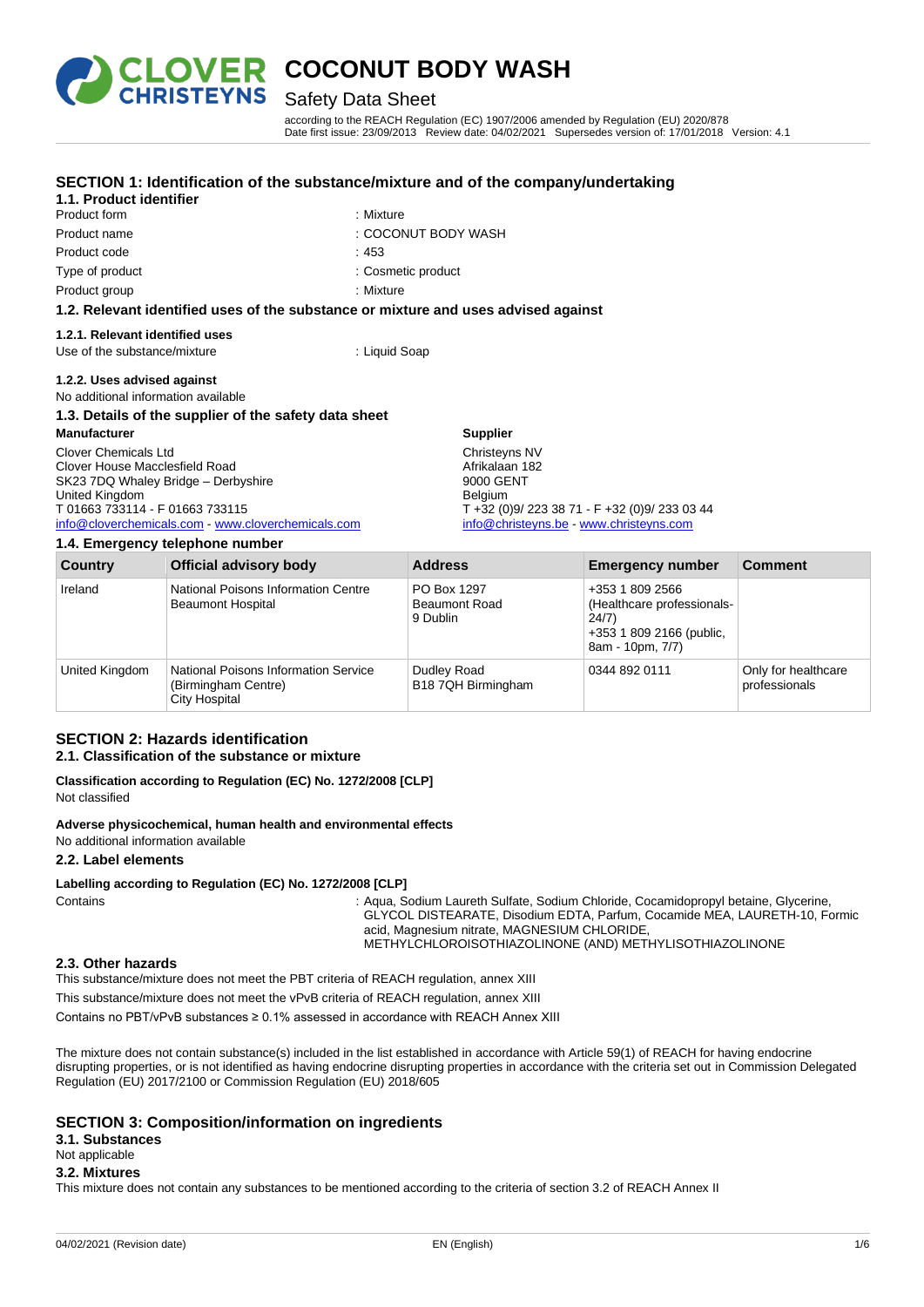

**1.1. Product identifier**

# **COCONUT BODY WASH**<br>RISTEYNS Safety Data Sheet

### Safety Data Sheet

**SECTION 1: Identification of the substance/mixture and of the company/undertaking**

according to the REACH Regulation (EC) 1907/2006 amended by Regulation (EU) 2020/878 Date first issue: 23/09/2013 Review date: 04/02/2021 Supersedes version of: 17/01/2018 Version: 4.1

| Product form                                                                       | : Mixture                                   |  |
|------------------------------------------------------------------------------------|---------------------------------------------|--|
| Product name                                                                       | : COCONUT BODY WASH                         |  |
| Product code                                                                       | :453                                        |  |
| Type of product                                                                    | : Cosmetic product                          |  |
| Product group                                                                      | : Mixture                                   |  |
| 1.2. Relevant identified uses of the substance or mixture and uses advised against |                                             |  |
| 1.2.1. Relevant identified uses                                                    |                                             |  |
| Use of the substance/mixture                                                       | : Liquid Soap                               |  |
| 1.2.2. Uses advised against                                                        |                                             |  |
| No additional information available                                                |                                             |  |
| 1.3. Details of the supplier of the safety data sheet                              |                                             |  |
| <b>Manufacturer</b>                                                                | <b>Supplier</b>                             |  |
| Clover Chemicals Ltd                                                               | Christeyns NV                               |  |
| Clover House Macclesfield Road                                                     | Afrikalaan 182<br>9000 GENT                 |  |
| SK23 7DQ Whaley Bridge - Derbyshire<br>United Kingdom                              | <b>Belgium</b>                              |  |
| T 01663 733114 - F 01663 733115                                                    | $T + 32 (0)9/2233871 - F + 32 (0)9/2330344$ |  |
| info@cloverchemicals.com - www.cloverchemicals.com                                 | info@christeyns.be www.christeyns.com       |  |
| 1.4. Emergency telephone number                                                    |                                             |  |

| <b>Country</b> | <b>Official advisory body</b>                                                       | <b>Address</b>                                  | <b>Emergency number</b>                                                                                | <b>Comment</b>                       |
|----------------|-------------------------------------------------------------------------------------|-------------------------------------------------|--------------------------------------------------------------------------------------------------------|--------------------------------------|
| Ireland        | National Poisons Information Centre<br><b>Beaumont Hospital</b>                     | PO Box 1297<br><b>Beaumont Road</b><br>9 Dublin | +353 1 809 2566<br>(Healthcare professionals-<br>24/7)<br>+353 1 809 2166 (public,<br>8am - 10pm, 7/7) |                                      |
| United Kingdom | National Poisons Information Service<br>(Birmingham Centre)<br><b>City Hospital</b> | Dudley Road<br>B18 7QH Birmingham               | 0344 892 0111                                                                                          | Only for healthcare<br>professionals |

#### **SECTION 2: Hazards identification 2.1. Classification of the substance or mixture**

**Classification according to Regulation (EC) No. 1272/2008 [CLP]** Not classified

**Adverse physicochemical, human health and environmental effects**

No additional information available

#### **2.2. Label elements**

#### **Labelling according to Regulation (EC) No. 1272/2008 [CLP]**

Contains **State 10 Contains** : Aqua, Sodium Laureth Sulfate, Sodium Chloride, Cocamidopropyl betaine, Glycerine, GLYCOL DISTEARATE, Disodium EDTA, Parfum, Cocamide MEA, LAURETH-10, Formic acid, Magnesium nitrate, MAGNESIUM CHLORIDE, METHYLCHLOROISOTHIAZOLINONE (AND) METHYLISOTHIAZOLINONE

#### **2.3. Other hazards**

This substance/mixture does not meet the PBT criteria of REACH regulation, annex XIII

This substance/mixture does not meet the vPvB criteria of REACH regulation, annex XIII

Contains no PBT/vPvB substances ≥ 0.1% assessed in accordance with REACH Annex XIII

The mixture does not contain substance(s) included in the list established in accordance with Article 59(1) of REACH for having endocrine disrupting properties, or is not identified as having endocrine disrupting properties in accordance with the criteria set out in Commission Delegated Regulation (EU) 2017/2100 or Commission Regulation (EU) 2018/605

#### **SECTION 3: Composition/information on ingredients**

**3.1. Substances**

#### Not applicable

#### **3.2. Mixtures**

This mixture does not contain any substances to be mentioned according to the criteria of section 3.2 of REACH Annex II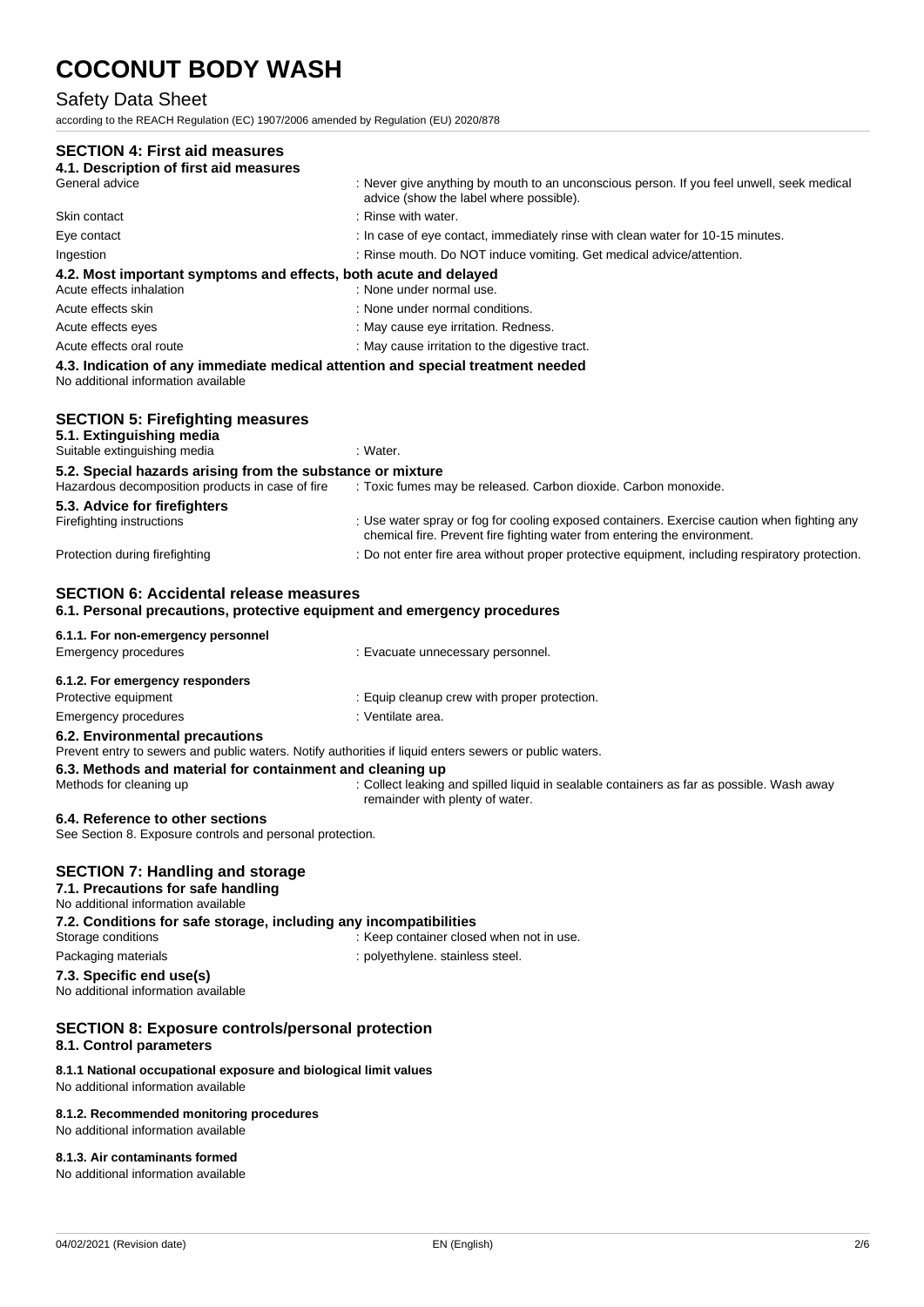### Safety Data Sheet

according to the REACH Regulation (EC) 1907/2006 amended by Regulation (EU) 2020/878

| <b>SECTION 4: First aid measures</b>                                                                                                                                                           |                                                                                                                                                                          |
|------------------------------------------------------------------------------------------------------------------------------------------------------------------------------------------------|--------------------------------------------------------------------------------------------------------------------------------------------------------------------------|
| 4.1. Description of first aid measures                                                                                                                                                         |                                                                                                                                                                          |
| General advice                                                                                                                                                                                 | : Never give anything by mouth to an unconscious person. If you feel unwell, seek medical<br>advice (show the label where possible).                                     |
| Skin contact                                                                                                                                                                                   | : Rinse with water.                                                                                                                                                      |
| Eye contact                                                                                                                                                                                    | : In case of eye contact, immediately rinse with clean water for 10-15 minutes.                                                                                          |
| Ingestion                                                                                                                                                                                      | : Rinse mouth. Do NOT induce vomiting. Get medical advice/attention.                                                                                                     |
| 4.2. Most important symptoms and effects, both acute and delayed<br>Acute effects inhalation                                                                                                   | : None under normal use.                                                                                                                                                 |
| Acute effects skin                                                                                                                                                                             | : None under normal conditions.                                                                                                                                          |
| Acute effects eyes                                                                                                                                                                             | : May cause eye irritation. Redness.                                                                                                                                     |
| Acute effects oral route                                                                                                                                                                       | : May cause irritation to the digestive tract.                                                                                                                           |
| 4.3. Indication of any immediate medical attention and special treatment needed<br>No additional information available                                                                         |                                                                                                                                                                          |
| <b>SECTION 5: Firefighting measures</b><br>5.1. Extinguishing media                                                                                                                            |                                                                                                                                                                          |
| Suitable extinguishing media                                                                                                                                                                   | : Water.                                                                                                                                                                 |
| 5.2. Special hazards arising from the substance or mixture<br>Hazardous decomposition products in case of fire                                                                                 | : Toxic fumes may be released. Carbon dioxide. Carbon monoxide.                                                                                                          |
| 5.3. Advice for firefighters<br>Firefighting instructions                                                                                                                                      | : Use water spray or fog for cooling exposed containers. Exercise caution when fighting any<br>chemical fire. Prevent fire fighting water from entering the environment. |
| Protection during firefighting                                                                                                                                                                 | : Do not enter fire area without proper protective equipment, including respiratory protection.                                                                          |
| <b>SECTION 6: Accidental release measures</b><br>6.1. Personal precautions, protective equipment and emergency procedures<br>6.1.1. For non-emergency personnel<br><b>Emergency procedures</b> |                                                                                                                                                                          |
|                                                                                                                                                                                                | : Evacuate unnecessary personnel.                                                                                                                                        |
| 6.1.2. For emergency responders                                                                                                                                                                |                                                                                                                                                                          |
| Protective equipment                                                                                                                                                                           | : Equip cleanup crew with proper protection.                                                                                                                             |
| <b>Emergency procedures</b>                                                                                                                                                                    | : Ventilate area.                                                                                                                                                        |
| 6.2. Environmental precautions<br>Prevent entry to sewers and public waters. Notify authorities if liquid enters sewers or public waters.                                                      |                                                                                                                                                                          |
| 6.3. Methods and material for containment and cleaning up<br>Methods for cleaning up                                                                                                           | : Collect leaking and spilled liquid in sealable containers as far as possible. Wash away<br>remainder with plenty of water.                                             |
| 6.4. Reference to other sections<br>See Section 8. Exposure controls and personal protection.                                                                                                  |                                                                                                                                                                          |
| <b>SECTION 7: Handling and storage</b><br>7.1. Precautions for safe handling<br>No additional information available                                                                            |                                                                                                                                                                          |
| 7.2. Conditions for safe storage, including any incompatibilities<br>Storage conditions                                                                                                        | : Keep container closed when not in use.                                                                                                                                 |
| Packaging materials                                                                                                                                                                            | : polyethylene. stainless steel.                                                                                                                                         |
| 7.3. Specific end use(s)<br>No additional information available                                                                                                                                |                                                                                                                                                                          |
| <b>SECTION 8: Exposure controls/personal protection</b><br>8.1. Control parameters                                                                                                             |                                                                                                                                                                          |
| 8.1.1 National occupational exposure and biological limit values<br>No additional information available                                                                                        |                                                                                                                                                                          |
| 8.1.2. Recommended monitoring procedures                                                                                                                                                       |                                                                                                                                                                          |

No additional information available

#### **8.1.3. Air contaminants formed**

No additional information available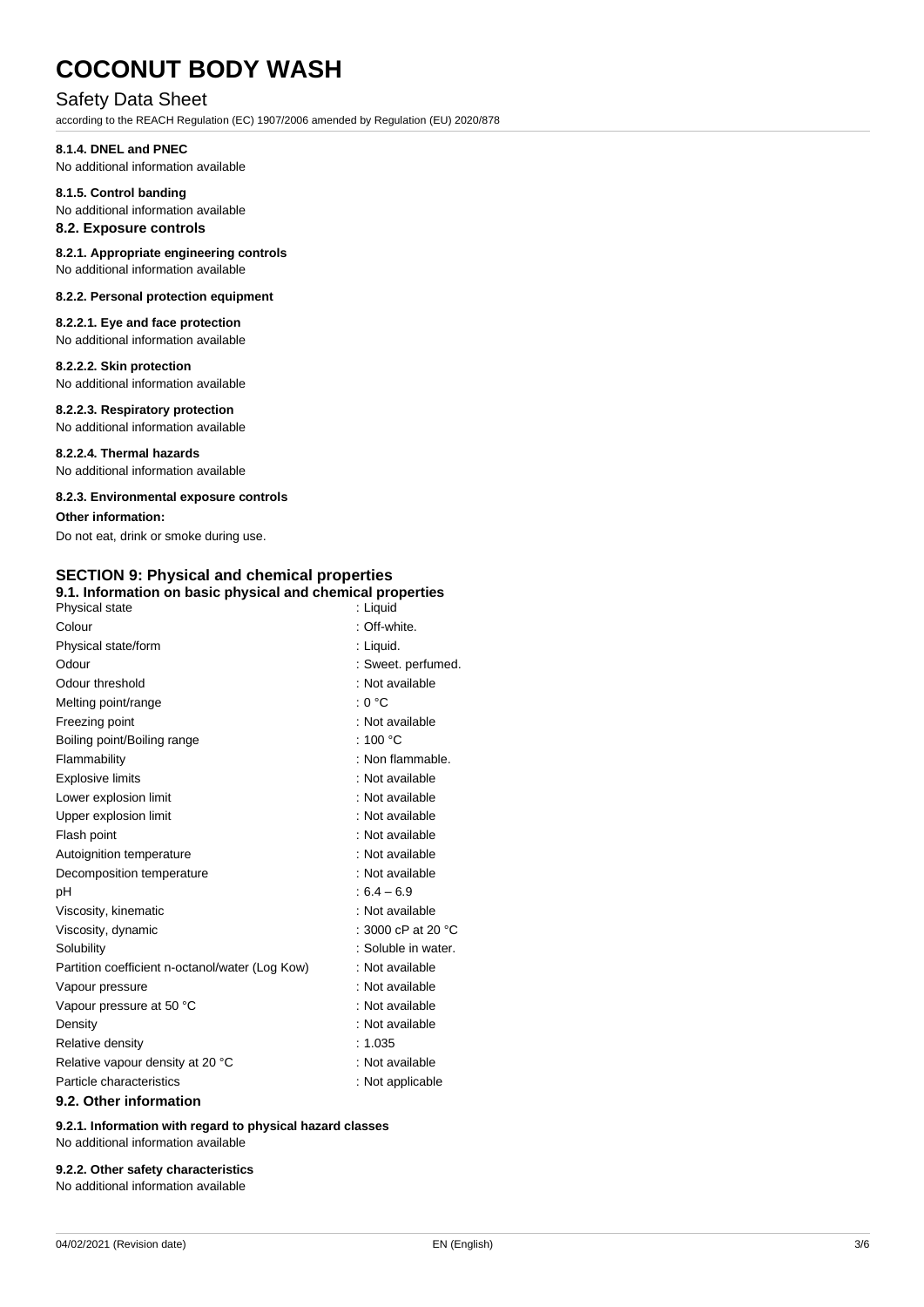#### Safety Data Sheet

according to the REACH Regulation (EC) 1907/2006 amended by Regulation (EU) 2020/878

#### **8.1.4. DNEL and PNEC**

No additional information available

#### **8.1.5. Control banding**

No additional information available

### **8.2. Exposure controls**

**8.2.1. Appropriate engineering controls** No additional information available

#### **8.2.2. Personal protection equipment**

**8.2.2.1. Eye and face protection** No additional information available

#### **8.2.2.2. Skin protection**

No additional information available

#### **8.2.2.3. Respiratory protection**

No additional information available

**8.2.2.4. Thermal hazards** No additional information available

#### **8.2.3. Environmental exposure controls**

**Other information:**

Do not eat, drink or smoke during use.

#### **SECTION 9: Physical and chemical properties**

| 9.1. Information on basic physical and chemical properties |                              |  |
|------------------------------------------------------------|------------------------------|--|
| Physical state                                             | : Liquid                     |  |
| Colour                                                     | : Off-white.                 |  |
| Physical state/form                                        | : Liquid.                    |  |
| Odour                                                      | : Sweet. perfumed.           |  |
| Odour threshold                                            | : Not available              |  |
| Melting point/range                                        | : 0 °C                       |  |
| Freezing point                                             | : Not available              |  |
| Boiling point/Boiling range                                | : 100 $^{\circ}$ C           |  |
| Flammability                                               | : Non flammable.             |  |
| <b>Explosive limits</b>                                    | : Not available              |  |
| Lower explosion limit                                      | : Not available              |  |
| Upper explosion limit                                      | : Not available              |  |
| Flash point                                                | : Not available              |  |
| Autoignition temperature                                   | : Not available              |  |
| Decomposition temperature                                  | : Not available              |  |
| рH                                                         | $:6.4 - 6.9$                 |  |
| Viscosity, kinematic                                       | : Not available              |  |
| Viscosity, dynamic                                         | : 3000 cP at 20 $^{\circ}$ C |  |
| Solubility                                                 | : Soluble in water.          |  |
| Partition coefficient n-octanol/water (Log Kow)            | : Not available              |  |
| Vapour pressure                                            | : Not available              |  |
| Vapour pressure at 50 °C                                   | : Not available              |  |
| Density                                                    | : Not available              |  |
| Relative density                                           | : 1.035                      |  |
| Relative vapour density at 20 °C                           | : Not available              |  |
| Particle characteristics                                   | : Not applicable             |  |
| 9.2. Other information                                     |                              |  |

**9.2.1. Information with regard to physical hazard classes** No additional information available

#### **9.2.2. Other safety characteristics**

No additional information available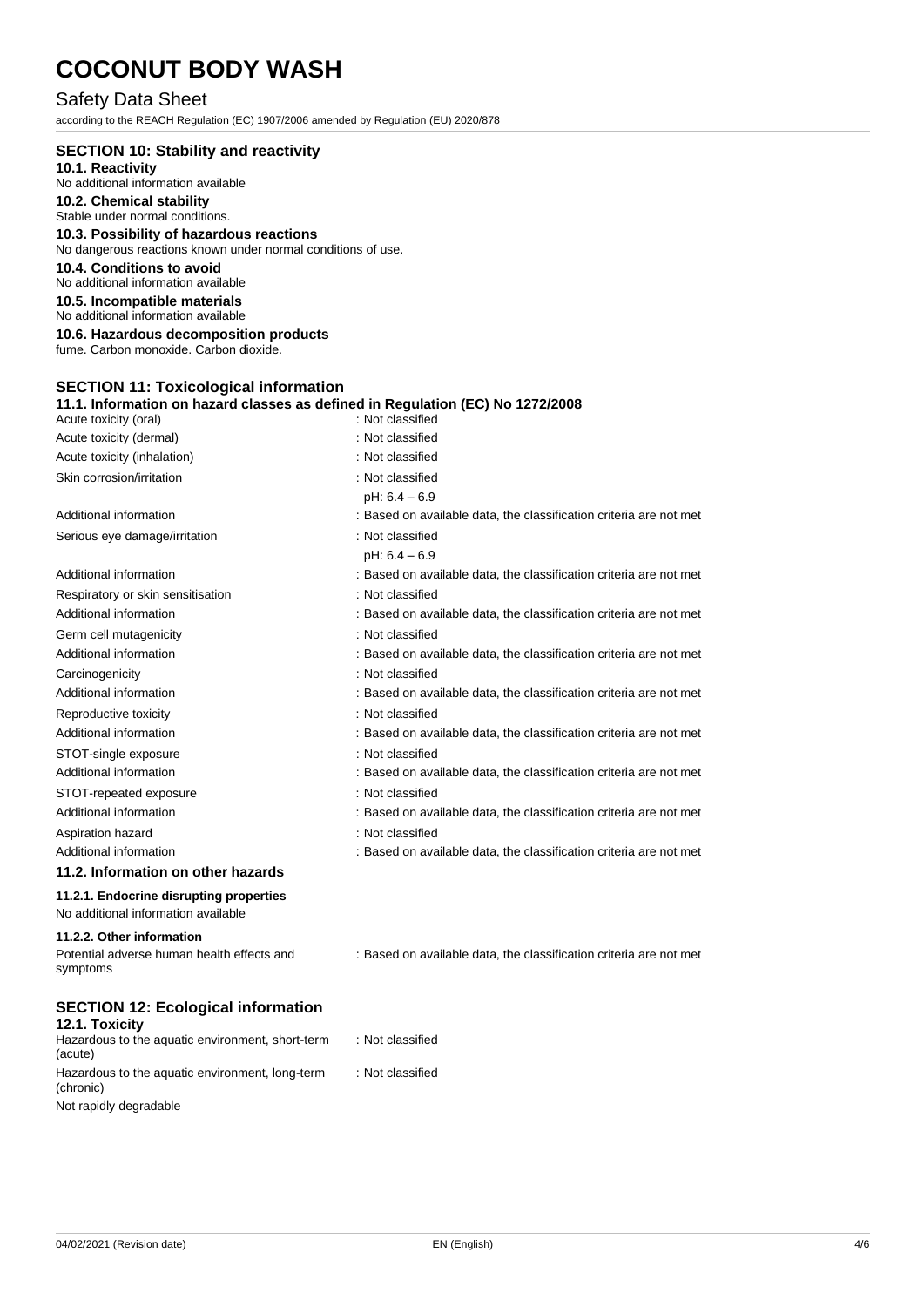#### Safety Data Sheet

according to the REACH Regulation (EC) 1907/2006 amended by Regulation (EU) 2020/878

#### **SECTION 10: Stability and reactivity**

**10.1. Reactivity** No additional information available

#### **10.2. Chemical stability**

Stable under normal conditions.

#### **10.3. Possibility of hazardous reactions**

No dangerous reactions known under normal conditions of use.

#### **10.4. Conditions to avoid**

No additional information available

#### **10.5. Incompatible materials**

No additional information available

**10.6. Hazardous decomposition products**

fume. Carbon monoxide. Carbon dioxide.

#### **SECTION 11: Toxicological information**

| 11.1. Information on hazard classes as defined in Regulation (EC) No 1272/2008<br>Acute toxicity (oral) | : Not classified                                                   |
|---------------------------------------------------------------------------------------------------------|--------------------------------------------------------------------|
| Acute toxicity (dermal)                                                                                 | : Not classified                                                   |
| Acute toxicity (inhalation)                                                                             | : Not classified                                                   |
| Skin corrosion/irritation                                                                               | : Not classified                                                   |
|                                                                                                         | $pH: 6.4 - 6.9$                                                    |
| Additional information                                                                                  | : Based on available data, the classification criteria are not met |
| Serious eye damage/irritation                                                                           | : Not classified                                                   |
|                                                                                                         | $pH: 6.4 - 6.9$                                                    |
| Additional information                                                                                  | : Based on available data, the classification criteria are not met |
| Respiratory or skin sensitisation                                                                       | : Not classified                                                   |
| Additional information                                                                                  | : Based on available data, the classification criteria are not met |
| Germ cell mutagenicity                                                                                  | : Not classified                                                   |
| Additional information                                                                                  | : Based on available data, the classification criteria are not met |
| Carcinogenicity                                                                                         | : Not classified                                                   |
| Additional information                                                                                  | : Based on available data, the classification criteria are not met |
| Reproductive toxicity                                                                                   | : Not classified                                                   |
| Additional information                                                                                  | : Based on available data, the classification criteria are not met |
| STOT-single exposure                                                                                    | : Not classified                                                   |
| Additional information                                                                                  | : Based on available data, the classification criteria are not met |
| STOT-repeated exposure                                                                                  | : Not classified                                                   |
| Additional information                                                                                  | : Based on available data, the classification criteria are not met |
| Aspiration hazard                                                                                       | : Not classified                                                   |
| Additional information                                                                                  | : Based on available data, the classification criteria are not met |
| 11.2. Information on other hazards                                                                      |                                                                    |
| 11.2.1. Endocrine disrupting properties<br>No additional information available                          |                                                                    |
| 11.2.2. Other information<br>Potential adverse human health effects and<br>symptoms                     | : Based on available data, the classification criteria are not met |
| <b>SECTION 12: Ecological information</b><br>12.1. Toxicity                                             |                                                                    |

| Hazardous to the aquatic environment, short-term<br>(acute)  | : Not classified |
|--------------------------------------------------------------|------------------|
| Hazardous to the aquatic environment, long-term<br>(chronic) | : Not classified |
| Not rapidly degradable                                       |                  |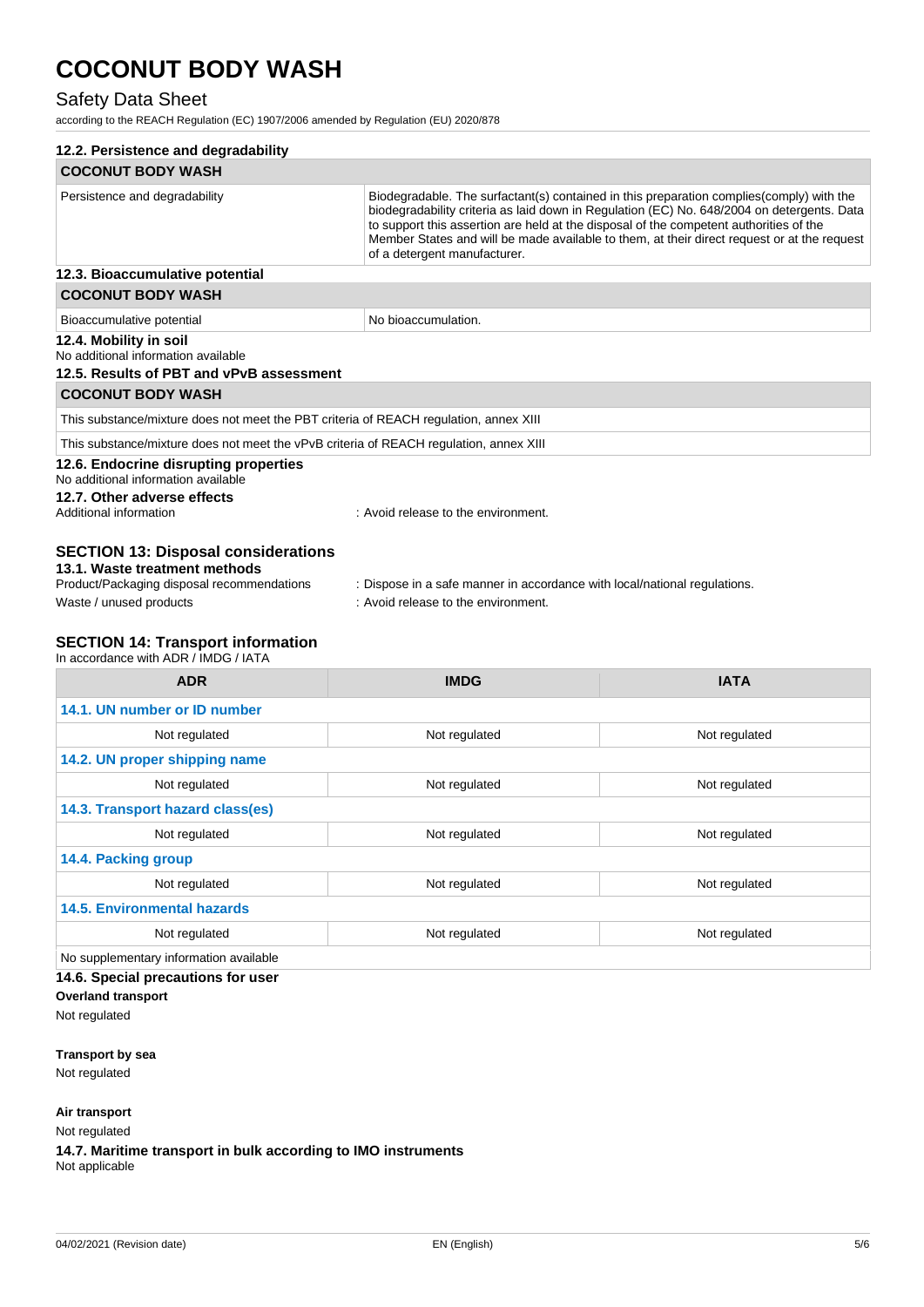### Safety Data Sheet

according to the REACH Regulation (EC) 1907/2006 amended by Regulation (EU) 2020/878

| 12.2. Persistence and degradability                                                                                                                                                                                                      |                                                                                                                                                                                                                                                                                                                                                                                                                 |               |
|------------------------------------------------------------------------------------------------------------------------------------------------------------------------------------------------------------------------------------------|-----------------------------------------------------------------------------------------------------------------------------------------------------------------------------------------------------------------------------------------------------------------------------------------------------------------------------------------------------------------------------------------------------------------|---------------|
| <b>COCONUT BODY WASH</b>                                                                                                                                                                                                                 |                                                                                                                                                                                                                                                                                                                                                                                                                 |               |
| Persistence and degradability                                                                                                                                                                                                            | Biodegradable. The surfactant(s) contained in this preparation complies(comply) with the<br>biodegradability criteria as laid down in Regulation (EC) No. 648/2004 on detergents. Data<br>to support this assertion are held at the disposal of the competent authorities of the<br>Member States and will be made available to them, at their direct request or at the request<br>of a detergent manufacturer. |               |
| 12.3. Bioaccumulative potential                                                                                                                                                                                                          |                                                                                                                                                                                                                                                                                                                                                                                                                 |               |
| <b>COCONUT BODY WASH</b>                                                                                                                                                                                                                 |                                                                                                                                                                                                                                                                                                                                                                                                                 |               |
| Bioaccumulative potential                                                                                                                                                                                                                | No bioaccumulation.                                                                                                                                                                                                                                                                                                                                                                                             |               |
| 12.4. Mobility in soil<br>No additional information available<br>12.5. Results of PBT and vPvB assessment                                                                                                                                |                                                                                                                                                                                                                                                                                                                                                                                                                 |               |
| <b>COCONUT BODY WASH</b>                                                                                                                                                                                                                 |                                                                                                                                                                                                                                                                                                                                                                                                                 |               |
| This substance/mixture does not meet the PBT criteria of REACH regulation, annex XIII                                                                                                                                                    |                                                                                                                                                                                                                                                                                                                                                                                                                 |               |
| This substance/mixture does not meet the vPvB criteria of REACH regulation, annex XIII                                                                                                                                                   |                                                                                                                                                                                                                                                                                                                                                                                                                 |               |
| 12.6. Endocrine disrupting properties<br>No additional information available<br>12.7. Other adverse effects<br>Additional information                                                                                                    | : Avoid release to the environment.                                                                                                                                                                                                                                                                                                                                                                             |               |
| <b>SECTION 13: Disposal considerations</b><br>13.1. Waste treatment methods<br>Product/Packaging disposal recommendations<br>Waste / unused products<br><b>SECTION 14: Transport information</b><br>In accordance with ADR / IMDG / IATA | : Dispose in a safe manner in accordance with local/national regulations.<br>: Avoid release to the environment.                                                                                                                                                                                                                                                                                                |               |
| <b>ADR</b>                                                                                                                                                                                                                               | <b>IMDG</b>                                                                                                                                                                                                                                                                                                                                                                                                     | <b>IATA</b>   |
|                                                                                                                                                                                                                                          |                                                                                                                                                                                                                                                                                                                                                                                                                 |               |
| 14.1. UN number or ID number                                                                                                                                                                                                             |                                                                                                                                                                                                                                                                                                                                                                                                                 |               |
| Not regulated                                                                                                                                                                                                                            | Not regulated                                                                                                                                                                                                                                                                                                                                                                                                   | Not regulated |
| 14.2. UN proper shipping name                                                                                                                                                                                                            |                                                                                                                                                                                                                                                                                                                                                                                                                 |               |
| Not regulated                                                                                                                                                                                                                            | Not regulated                                                                                                                                                                                                                                                                                                                                                                                                   | Not regulated |
| 14.3. Transport hazard class(es)                                                                                                                                                                                                         |                                                                                                                                                                                                                                                                                                                                                                                                                 |               |
| Not regulated                                                                                                                                                                                                                            | Not regulated                                                                                                                                                                                                                                                                                                                                                                                                   | Not regulated |

**14.4. Packing group**

#### Not regulated Not regulated Not regulated Not regulated Not regulated Not regulated **14.5. Environmental hazards**

Not regulated Not regulated Not regulated Not regulated Not regulated

No supplementary information available

#### **14.6. Special precautions for user**

**Overland transport** Not regulated

**Transport by sea**

Not regulated

#### **Air transport**

Not regulated

**14.7. Maritime transport in bulk according to IMO instruments** Not applicable